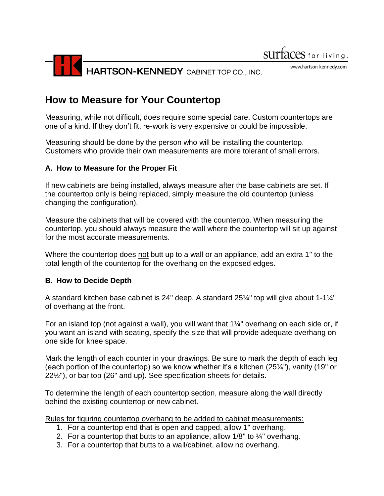

www.hartson-kennedy.com

# **How to Measure for Your Countertop**

Measuring, while not difficult, does require some special care. Custom countertops are one of a kind. If they don't fit, re-work is very expensive or could be impossible.

Measuring should be done by the person who will be installing the countertop. Customers who provide their own measurements are more tolerant of small errors.

# **A. How to Measure for the Proper Fit**

If new cabinets are being installed, always measure after the base cabinets are set. If the countertop only is being replaced, simply measure the old countertop (unless changing the configuration).

Measure the cabinets that will be covered with the countertop. When measuring the countertop, you should always measure the wall where the countertop will sit up against for the most accurate measurements.

Where the countertop does not butt up to a wall or an appliance, add an extra 1" to the total length of the countertop for the overhang on the exposed edges.

# **B. How to Decide Depth**

A standard kitchen base cabinet is 24" deep. A standard 25¼" top will give about 1-1¼" of overhang at the front.

For an island top (not against a wall), you will want that 1¼" overhang on each side or, if you want an island with seating, specify the size that will provide adequate overhang on one side for knee space.

Mark the length of each counter in your drawings. Be sure to mark the depth of each leg (each portion of the countertop) so we know whether it's a kitchen (25¼"), vanity (19" or 22½"), or bar top (26" and up). See specification sheets for details.

To determine the length of each countertop section, measure along the wall directly behind the existing countertop or new cabinet.

Rules for figuring countertop overhang to be added to cabinet measurements:

- 1. For a countertop end that is open and capped, allow 1" overhang.
- 2. For a countertop that butts to an appliance, allow  $1/8"$  to  $\frac{1}{4}"$  overhang.
- 3. For a countertop that butts to a wall/cabinet, allow no overhang.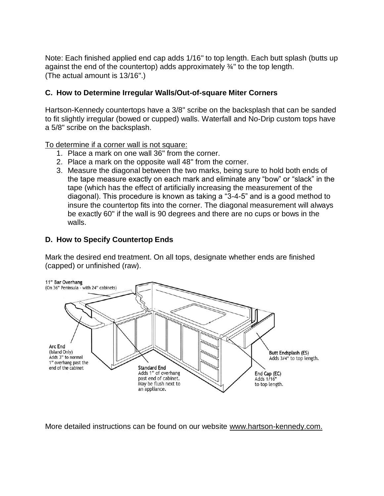Note: Each finished applied end cap adds 1/16" to top length. Each butt splash (butts up against the end of the countertop) adds approximately ¾" to the top length. (The actual amount is 13/16".)

# **C. How to Determine Irregular Walls/Out-of-square Miter Corners**

Hartson-Kennedy countertops have a 3/8" scribe on the backsplash that can be sanded to fit slightly irregular (bowed or cupped) walls. Waterfall and No-Drip custom tops have a 5/8" scribe on the backsplash.

To determine if a corner wall is not square:

- 1. Place a mark on one wall 36" from the corner.
- 2. Place a mark on the opposite wall 48" from the corner.
- 3. Measure the diagonal between the two marks, being sure to hold both ends of the tape measure exactly on each mark and eliminate any "bow" or "slack" in the tape (which has the effect of artificially increasing the measurement of the diagonal). This procedure is known as taking a "3-4-5" and is a good method to insure the countertop fits into the corner. The diagonal measurement will always be exactly 60" if the wall is 90 degrees and there are no cups or bows in the walls.

# **D. How to Specify Countertop Ends**

Mark the desired end treatment. On all tops, designate whether ends are finished (capped) or unfinished (raw).



More detailed instructions can be found on our website [www.hartson-kennedy.com.](http://www.hartson-kennedy.com/)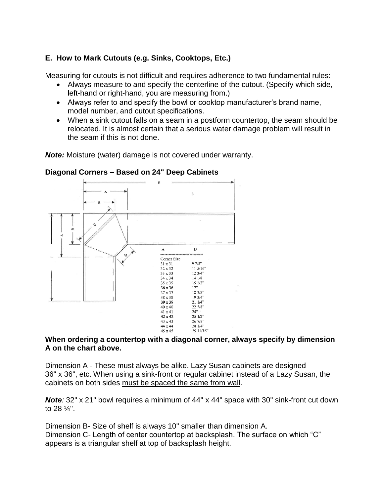# **E. How to Mark Cutouts (e.g. Sinks, Cooktops, Etc.)**

Measuring for cutouts is not difficult and requires adherence to two fundamental rules:

- Always measure to and specify the centerline of the cutout. (Specify which side, left-hand or right-hand, you are measuring from.)
- Always refer to and specify the bowl or cooktop manufacturer's brand name, model number, and cutout specifications.
- When a sink cutout falls on a seam in a postform countertop, the seam should be relocated. It is almost certain that a serious water damage problem will result in the seam if this is not done.

*Note:* Moisture (water) damage is not covered under warranty.



#### **Diagonal Corners – Based on 24" Deep Cabinets**

#### **When ordering a countertop with a diagonal corner, always specify by dimension A on the chart above.**

Dimension A - These must always be alike. Lazy Susan cabinets are designed 36" x 36", etc. When using a sink-front or regular cabinet instead of a Lazy Susan, the cabinets on both sides must be spaced the same from wall.

**Note**: 32" x 21" bowl requires a minimum of 44" x 44" space with 30" sink-front cut down to 28 ¼".

Dimension B- Size of shelf is always 10" smaller than dimension A. Dimension C- Length of center countertop at backsplash. The surface on which "C" appears is a triangular shelf at top of backsplash height.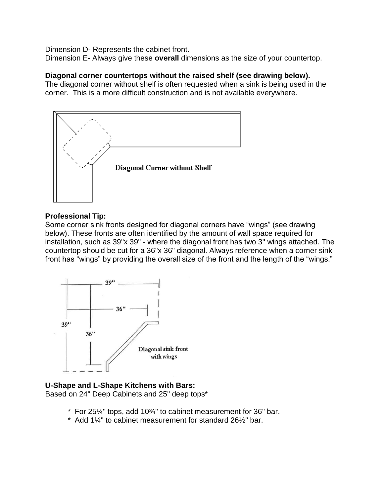Dimension D- Represents the cabinet front.

Dimension E- Always give these **overall** dimensions as the size of your countertop.

#### **Diagonal corner countertops without the raised shelf (see drawing below).**

The diagonal corner without shelf is often requested when a sink is being used in the corner. This is a more difficult construction and is not available everywhere.



#### **Professional Tip:**

Some corner sink fronts designed for diagonal corners have "wings" (see drawing below). These fronts are often identified by the amount of wall space required for installation, such as 39"x 39" - where the diagonal front has two 3" wings attached. The countertop should be cut for a 36"x 36" diagonal. Always reference when a corner sink front has "wings" by providing the overall size of the front and the length of the "wings."



# **U-Shape and L-Shape Kitchens with Bars:**

Based on 24" Deep Cabinets and 25" deep tops\*

- \* For 25¼" tops, add 10¾" to cabinet measurement for 36" bar.
- $*$  Add 1¼" to cabinet measurement for standard 26½" bar.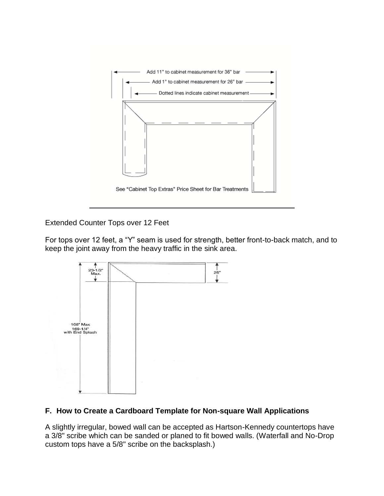

Extended Counter Tops over 12 Feet

For tops over 12 feet, a "Y" seam is used for strength, better front-to-back match, and to keep the joint away from the heavy traffic in the sink area.



# **F. How to Create a Cardboard Template for Non-square Wall Applications**

A slightly irregular, bowed wall can be accepted as Hartson-Kennedy countertops have a 3/8" scribe which can be sanded or planed to fit bowed walls. (Waterfall and No-Drop custom tops have a 5/8" scribe on the backsplash.)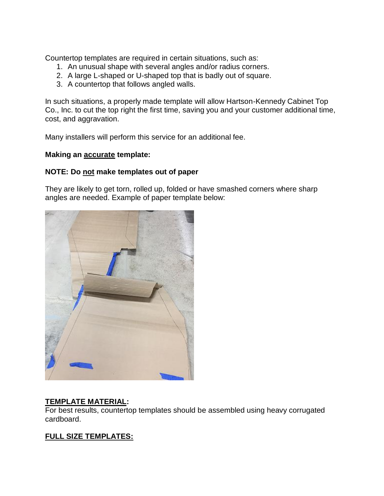Countertop templates are required in certain situations, such as:

- 1. An unusual shape with several angles and/or radius corners.
- 2. A large L-shaped or U-shaped top that is badly out of square.
- 3. A countertop that follows angled walls.

In such situations, a properly made template will allow Hartson-Kennedy Cabinet Top Co., Inc. to cut the top right the first time, saving you and your customer additional time, cost, and aggravation.

Many installers will perform this service for an additional fee.

#### **Making an accurate template:**

#### **NOTE: Do not make templates out of paper**

They are likely to get torn, rolled up, folded or have smashed corners where sharp angles are needed. Example of paper template below:



# **TEMPLATE MATERIAL:**

For best results, countertop templates should be assembled using heavy corrugated cardboard.

# **FULL SIZE TEMPLATES:**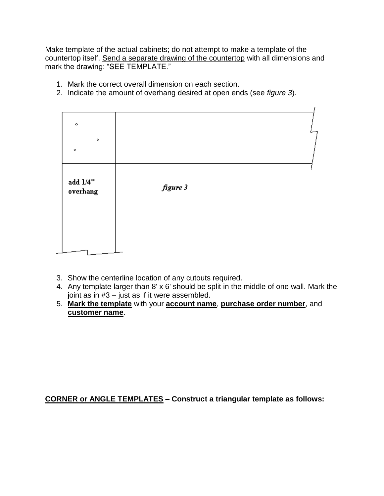Make template of the actual cabinets; do not attempt to make a template of the countertop itself. Send a separate drawing of the countertop with all dimensions and mark the drawing: "SEE TEMPLATE."

- 1. Mark the correct overall dimension on each section.
- 2. Indicate the amount of overhang desired at open ends (see *figure 3*).

| $\circ$<br>۰<br>$\circ$ |          |
|-------------------------|----------|
| add $1/4$ "<br>overhang | figure 3 |
|                         |          |

- 3. Show the centerline location of any cutouts required.
- 4. Any template larger than 8' x 6' should be split in the middle of one wall. Mark the joint as in #3 – just as if it were assembled.
- 5. **Mark the template** with your **account name**, **purchase order number**, and **customer name**.

**CORNER or ANGLE TEMPLATES – Construct a triangular template as follows:**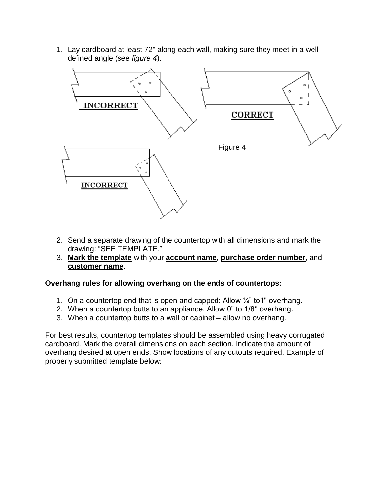1. Lay cardboard at least 72" along each wall, making sure they meet in a welldefined angle (see *figure 4*).



- 2. Send a separate drawing of the countertop with all dimensions and mark the drawing: "SEE TEMPLATE."
- 3. **Mark the template** with your **account name**, **purchase order number**, and **customer name**.

# **Overhang rules for allowing overhang on the ends of countertops:**

- 1. On a countertop end that is open and capped: Allow ¼" to1" overhang.
- 2. When a countertop butts to an appliance. Allow 0" to 1/8" overhang.
- 3. When a countertop butts to a wall or cabinet allow no overhang.

For best results, countertop templates should be assembled using heavy corrugated cardboard. Mark the overall dimensions on each section. Indicate the amount of overhang desired at open ends. Show locations of any cutouts required. Example of properly submitted template below: